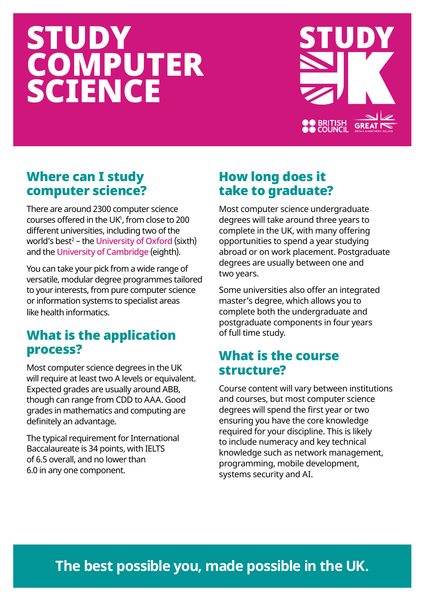# STUDY **COMPUTER** SCIENCE



# Where can I study computer science?

There are around 2300 computer science  $\frac{1}{200}$  courses offered in the UK<sup>1</sup>, from close to 200 different universities, including two of the world's best<sup>2</sup> – the [University of Oxford](https://www.ox.ac.uk) (sixth) and the [University of Cambridge](https://www.cam.ac.uk) (eighth).

You can take your pick from a wide range of versatile, modular degree programmes tailored to your interests, from pure computer science or information systems to specialist areas like health informatics.

# What is the application process?

Most computer science degrees in the UK will require at least two A levels or equivalent. Expected grades are usually around ABB, though can range from CDD to AAA. Good grades in mathematics and computing are definitely an advantage.

The typical requirement for International Baccalaureate is 34 points, with IELTS of 6.5 overall, and no lower than 6.0 in any one component.

# How long does it take to graduate?

Most computer science undergraduate degrees will take around three years to complete in the UK, with many offering opportunities to spend a year studying abroad or on work placement. Postgraduate degrees are usually between one and two years.

Some universities also offer an integrated master's degree, which allows you to complete both the undergraduate and postgraduate components in four years of full time study.

### What is the course structure?

Course content will vary between institutions and courses, but most computer science degrees will spend the first year or two ensuring you have the core knowledge required for your discipline. This is likely to include numeracy and key technical knowledge such as network management, programming, mobile development, systems security and AI.

# **The best possible you, made possible in the UK.**